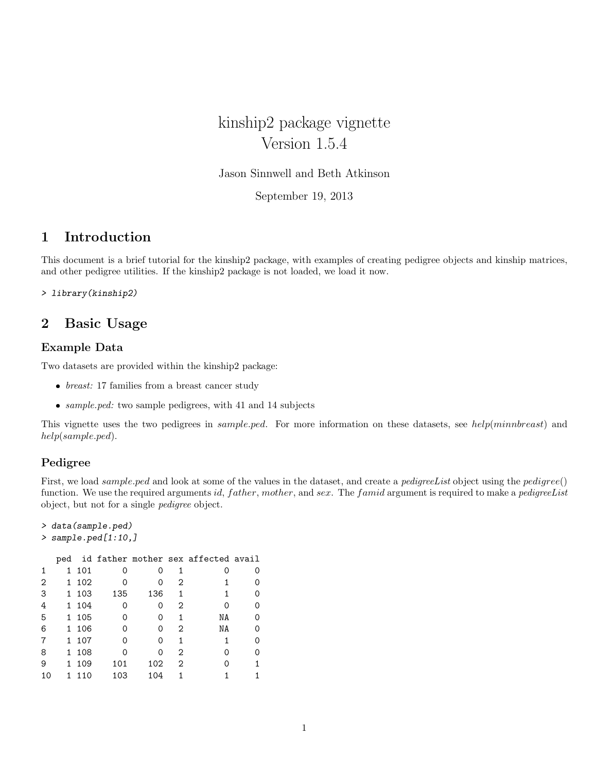kinship2 package vignette Version 1.5.4

Jason Sinnwell and Beth Atkinson

September 19, 2013

# 1 Introduction

This document is a brief tutorial for the kinship2 package, with examples of creating pedigree objects and kinship matrices, and other pedigree utilities. If the kinship2 package is not loaded, we load it now.

> library(kinship2)

# 2 Basic Usage

## Example Data

Two datasets are provided within the kinship2 package:

- $\bullet$  *breast:* 17 families from a breast cancer study
- sample.ped: two sample pedigrees, with 41 and 14 subjects

This vignette uses the two pedigrees in *sample.ped*. For more information on these datasets, see help(minnbreast) and help(sample.ped).

## Pedigree

First, we load *sample.ped* and look at some of the values in the dataset, and create a *pedigreeList* object using the *pedigree*() function. We use the required arguments id,  $father, mother$ , and  $sex.$  The famid argument is required to make a pedigreeList object, but not for a single pedigree object.

```
> data(sample.ped)
> sample.ped[1:10,]
```

|   |    |       |     |     |   | ped id father mother sex affected avail |  |
|---|----|-------|-----|-----|---|-----------------------------------------|--|
|   |    | 1 101 | 0   |     | 1 |                                         |  |
| 2 | 1  | 102   | Ω   | ი   | 2 |                                         |  |
| 3 |    | 1 103 | 135 | 136 | 1 |                                         |  |
| 4 |    | 1 104 | 0   | Ω   | 2 |                                         |  |
| 5 |    | 1 105 | Ω   | Ω   | 1 | NΑ                                      |  |
| 6 |    | 1 106 | 0   | 0   | 2 | ΝA                                      |  |
| 7 |    | 1 107 | ი   | ი   | 1 |                                         |  |
| 8 |    | 1 108 | ი   | ი   | 2 |                                         |  |
| 9 | 1. | 109   | 101 | 102 | 2 |                                         |  |
|   |    | 110   | 103 | 104 |   |                                         |  |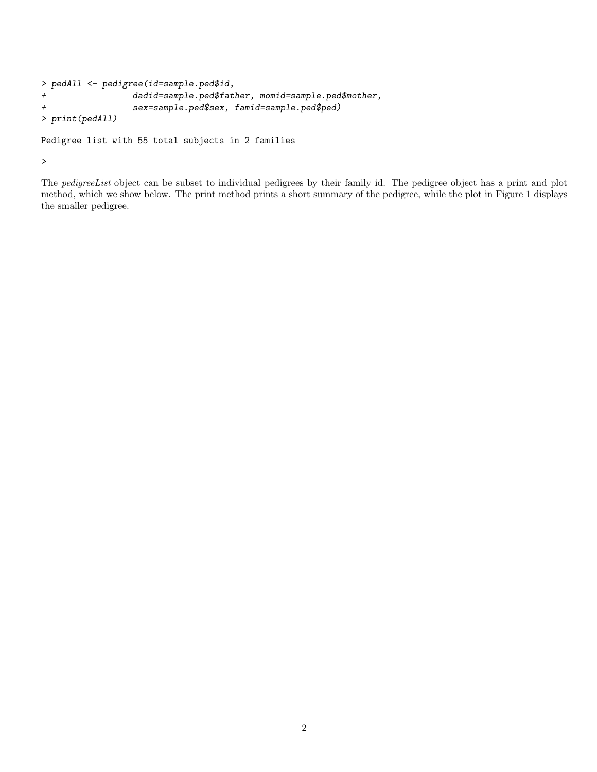```
> pedAll <- pedigree(id=sample.ped$id,
+ dadid=sample.ped$father, momid=sample.ped$mother,
+ sex=sample.ped$sex, famid=sample.ped$ped)
> print(pedAll)
Pedigree list with 55 total subjects in 2 families
```
>

The pedigreeList object can be subset to individual pedigrees by their family id. The pedigree object has a print and plot method, which we show below. The print method prints a short summary of the pedigree, while the plot in Figure 1 displays the smaller pedigree.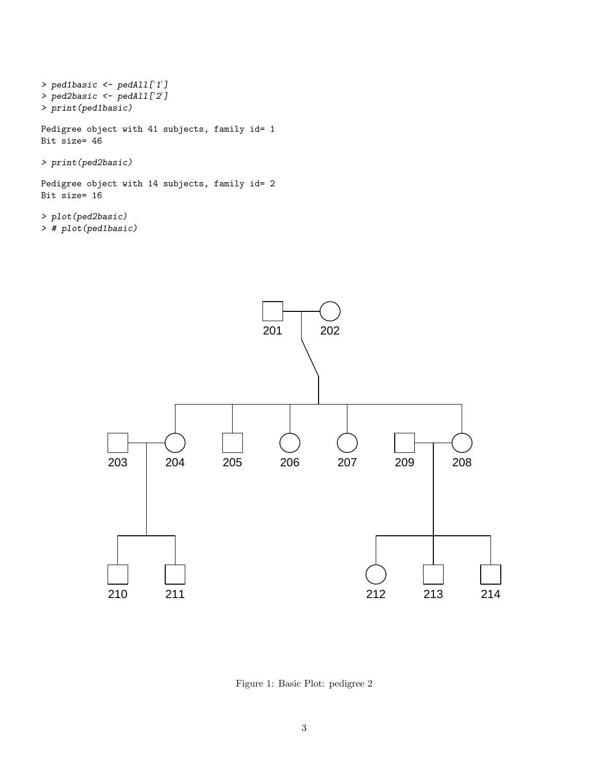```
> ped1basic <- pedAll['1']
> ped2basic <- pedAll['2']
> print(ped1basic)
Pedigree object with 41 subjects, family id= 1
Bit size= 46
> print(ped2basic)
Pedigree object with 14 subjects, family id= 2
Bit size= 16
```
> plot(ped2basic) > # plot(ped1basic)



Figure 1: Basic Plot: pedigree 2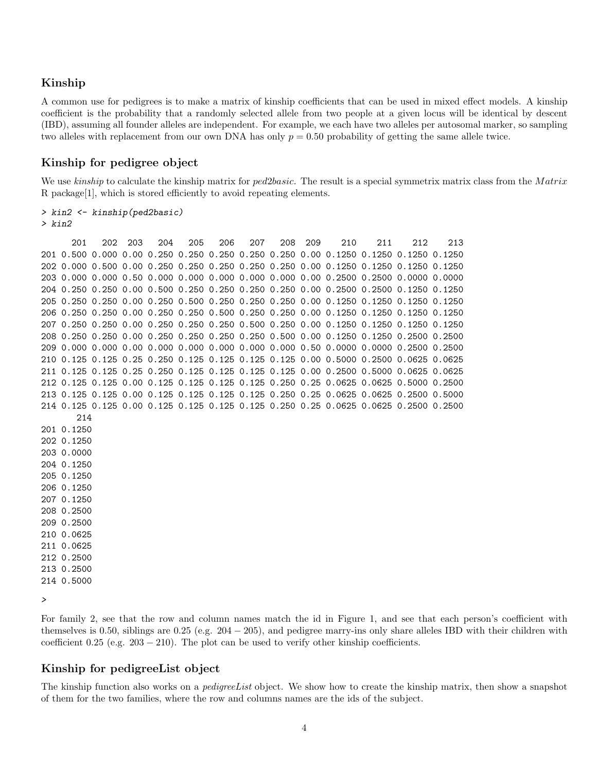## Kinship

A common use for pedigrees is to make a matrix of kinship coefficients that can be used in mixed effect models. A kinship coefficient is the probability that a randomly selected allele from two people at a given locus will be identical by descent (IBD), assuming all founder alleles are independent. For example, we each have two alleles per autosomal marker, so sampling two alleles with replacement from our own DNA has only  $p = 0.50$  probability of getting the same allele twice.

### Kinship for pedigree object

We use kinship to calculate the kinship matrix for  $ped2 basic$ . The result is a special symmetrix matrix class from the Matrix R package[1], which is stored efficiently to avoid repeating elements.

> kin2 <- kinship(ped2basic)

> kin2

201 202 203 204 205 206 207 208 209 210 211 212 213 201 0.500 0.000 0.00 0.250 0.250 0.250 0.250 0.250 0.00 0.1250 0.1250 0.1250 0.1250 202 0.000 0.500 0.00 0.250 0.250 0.250 0.250 0.250 0.00 0.1250 0.1250 0.1250 0.1250 203 0.000 0.000 0.50 0.000 0.000 0.000 0.000 0.000 0.00 0.2500 0.2500 0.0000 0.0000 204 0.250 0.250 0.00 0.500 0.250 0.250 0.250 0.250 0.00 0.2500 0.2500 0.1250 0.1250 205 0.250 0.250 0.00 0.250 0.500 0.250 0.250 0.250 0.00 0.1250 0.1250 0.1250 0.1250 206 0.250 0.250 0.00 0.250 0.250 0.500 0.250 0.250 0.00 0.1250 0.1250 0.1250 0.1250 207 0.250 0.250 0.00 0.250 0.250 0.250 0.500 0.250 0.00 0.1250 0.1250 0.1250 0.1250 208 0.250 0.250 0.00 0.250 0.250 0.250 0.250 0.500 0.00 0.1250 0.1250 0.2500 0.2500 209 0.000 0.000 0.00 0.000 0.000 0.000 0.000 0.000 0.50 0.0000 0.0000 0.2500 0.2500 210 0.125 0.125 0.25 0.250 0.125 0.125 0.125 0.125 0.00 0.5000 0.2500 0.0625 0.0625 211 0.125 0.125 0.25 0.250 0.125 0.125 0.125 0.125 0.00 0.2500 0.5000 0.0625 0.0625 212 0.125 0.125 0.00 0.125 0.125 0.125 0.125 0.250 0.25 0.0625 0.0625 0.5000 0.2500 213 0.125 0.125 0.00 0.125 0.125 0.125 0.125 0.250 0.25 0.0625 0.0625 0.2500 0.5000 214 0.125 0.125 0.00 0.125 0.125 0.125 0.125 0.250 0.25 0.0625 0.0625 0.2500 0.2500 214 201 0.1250 202 0.1250 203 0.0000 204 0.1250 205 0.1250 206 0.1250 207 0.1250 208 0.2500 209 0.2500 210 0.0625 211 0.0625 212 0.2500 213 0.2500 214 0.5000

>

For family 2, see that the row and column names match the id in Figure 1, and see that each person's coefficient with themselves is 0.50, siblings are  $0.25$  (e.g.  $204 - 205$ ), and pedigree marry-ins only share alleles IBD with their children with coefficient  $0.25$  (e.g.  $203 - 210$ ). The plot can be used to verify other kinship coefficients.

### Kinship for pedigreeList object

The kinship function also works on a *pedigreeList* object. We show how to create the kinship matrix, then show a snapshot of them for the two families, where the row and columns names are the ids of the subject.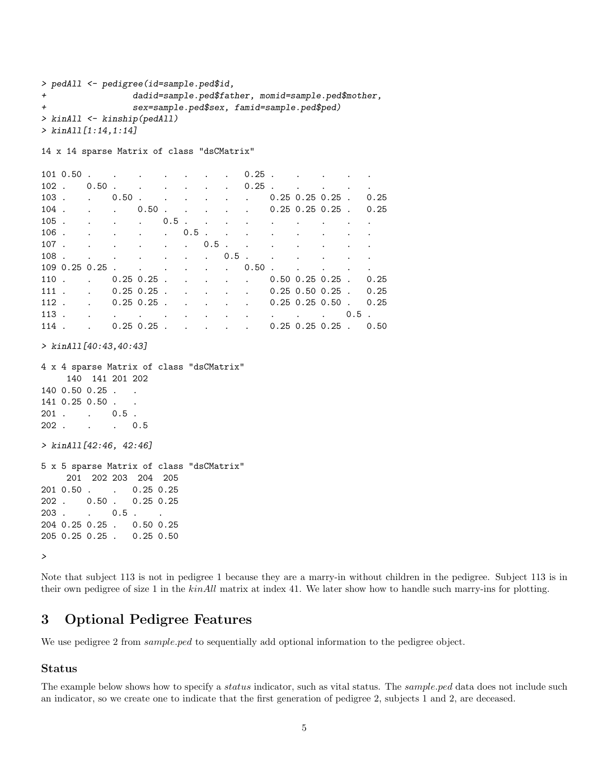```
> pedAll <- pedigree(id=sample.ped$id,
+ dadid=sample.ped$father, momid=sample.ped$mother,
+ sex=sample.ped$sex, famid=sample.ped$ped)
> kinAll <- kinship(pedAll)
> kinAll[1:14,1:14]
```
14 x 14 sparse Matrix of class "dsCMatrix"

|         | 101 0.50       |                               |                                   | and the contract of the contract of the contract of the contract of the contract of      |         |                              |                      |                                                    | $0.25$ .                            |                                                                       |                                                         | the contract of the contract of the contract of the contract of the contract of                                 |                                        |           |
|---------|----------------|-------------------------------|-----------------------------------|------------------------------------------------------------------------------------------|---------|------------------------------|----------------------|----------------------------------------------------|-------------------------------------|-----------------------------------------------------------------------|---------------------------------------------------------|-----------------------------------------------------------------------------------------------------------------|----------------------------------------|-----------|
| $102$ . |                | $0.50$ .                      |                                   | and the contract of the contract of                                                      |         |                              |                      |                                                    | $0.25$ .                            |                                                                       |                                                         | and the contract of the contract of the contract of the contract of the contract of                             |                                        |           |
| 103     |                |                               | 0.50                              | $\sim$ $\sim$                                                                            | $\sim$  | $\sim$ $\sim$                |                      | $\cdot$                                            |                                     |                                                                       |                                                         | $0.25$ $0.25$ $0.25$ .                                                                                          |                                        | 0.25      |
| $104$ . |                |                               |                                   | $0.50$ .                                                                                 | $\sim$  | $\sim$                       | $\sim 100$           |                                                    | $\ddot{\phantom{a}}$                |                                                                       |                                                         | $0.25$ $0.25$ $0.25$ $0.25$                                                                                     |                                        | 0.25      |
| 105.    |                | $\mathbf{L}$ and $\mathbf{L}$ |                                   | $\sim$ $\sim$                                                                            | $0.5$ . | $\sim$ 100 $\pm$             |                      |                                                    |                                     | and the contract of the contract of                                   |                                                         | $\mathcal{L}^{\text{max}}$                                                                                      | $\cdot$                                | $\bullet$ |
| 106.    |                |                               |                                   | $\mathbf{r}$ and $\mathbf{r}$ are all $\mathbf{r}$ and $\mathbf{r}$ are all $\mathbf{r}$ |         | $0.5$ .                      |                      |                                                    |                                     |                                                                       |                                                         | the contract of the contract of the contract of the contract of the contract of the contract of the contract of |                                        |           |
| 107.    |                |                               |                                   | and the contract of the contract of                                                      |         | $\cdot$                      | $0.5$ .              | $\sim$ 10 $\pm$                                    |                                     | and the contract of the contract of                                   |                                                         |                                                                                                                 | $\mathbf{L} = \mathbf{L}$              |           |
| 108.    |                |                               |                                   | and the contract of the contract of                                                      |         |                              | $\ddot{\phantom{0}}$ | $0.5$ .                                            |                                     | and the contract of the contract of                                   |                                                         |                                                                                                                 |                                        | $\bullet$ |
|         | 109 0.25 0.25. |                               |                                   | $\mathbf{r}$ and $\mathbf{r}$ and $\mathbf{r}$                                           |         | and the contract of the con- |                      |                                                    | 0.50                                | $\sim$                                                                | $\mathbf{r} = \mathbf{r}$ and $\mathbf{r} = \mathbf{r}$ |                                                                                                                 | $\mathbf{r} = \mathbf{r} + \mathbf{r}$ |           |
| 110     |                |                               |                                   | $0.25$ $0.25$ .                                                                          |         | $\sim$                       |                      | $\mathbf{r}$ , and $\mathbf{r}$ , and $\mathbf{r}$ | $\ddot{\phantom{a}}$                |                                                                       |                                                         | $0.50 \t0.25 \t0.25$ .                                                                                          |                                        | 0.25      |
| $111$ . |                |                               |                                   | $0.25$ $0.25$ .                                                                          | $\sim$  | $\sim$ $\sim$                |                      |                                                    |                                     |                                                                       |                                                         | $0.25$ 0.50 0.25.                                                                                               |                                        | 0.25      |
| $112$ . |                |                               |                                   | $0.25$ $0.25$ .                                                                          |         | $\sim$ .<br>$\sim$ $\sim$    |                      | $\sim$ $\sim$                                      |                                     |                                                                       |                                                         | $0.25$ $0.25$ $0.50$ $.$                                                                                        |                                        | 0.25      |
| 113.    |                |                               | <b>Contract Contract Contract</b> | $\bullet$                                                                                |         | $\ddot{\bullet}$             |                      |                                                    |                                     | $\mathbf{r}$ , and $\mathbf{r}$ , and $\mathbf{r}$ , and $\mathbf{r}$ |                                                         |                                                                                                                 |                                        | $0.5$ .   |
| 114     |                |                               |                                   | $0.25$ $0.25$ .                                                                          |         |                              |                      |                                                    | and the contract of the contract of |                                                                       |                                                         | $0.25$ 0.25 0.25.                                                                                               |                                        | 0.50      |

> kinAll[40:43,40:43]

```
4 x 4 sparse Matrix of class "dsCMatrix"
    140 141 201 202
140 0.50 0.25 . .
141 0.25 0.50 . .
201 . . 0.5 .
202 . . . 0.5
```
> kinAll[42:46, 42:46]

5 x 5 sparse Matrix of class "dsCMatrix" 201 202 203 204 205 201 0.50 . . 0.25 0.25 202 . 0.50 . 0.25 0.25 203 . . 0.5 . 204 0.25 0.25 . 0.50 0.25 205 0.25 0.25 . 0.25 0.50

>

Note that subject 113 is not in pedigree 1 because they are a marry-in without children in the pedigree. Subject 113 is in their own pedigree of size 1 in the kinAll matrix at index 41. We later show how to handle such marry-ins for plotting.

## 3 Optional Pedigree Features

We use pedigree 2 from *sample.ped* to sequentially add optional information to the pedigree object.

## Status

The example below shows how to specify a *status* indicator, such as vital status. The *sample.ped* data does not include such an indicator, so we create one to indicate that the first generation of pedigree 2, subjects 1 and 2, are deceased.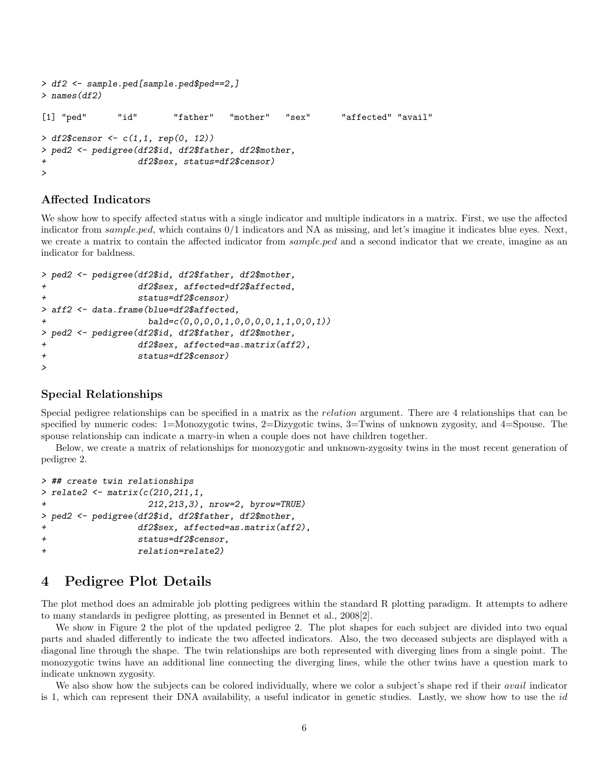```
> df2 <- sample.ped[sample.ped$ped==2,]
> names(df2)
[1] "ped" "id" "father" "mother" "sex" "affected" "avail"
> df2\gensor <-c(1,1, rep(0, 12))> ped2 <- pedigree(df2$id, df2$father, df2$mother,
+ df2$sex, status=df2$censor)
>
```
### Affected Indicators

We show how to specify affected status with a single indicator and multiple indicators in a matrix. First, we use the affected indicator from *sample.ped*, which contains  $0/1$  indicators and NA as missing, and let's imagine it indicates blue eyes. Next, we create a matrix to contain the affected indicator from *sample.ped* and a second indicator that we create, imagine as an indicator for baldness.

```
> ped2 <- pedigree(df2$id, df2$father, df2$mother,
+ df2$sex, affected=df2$affected,
+ status=df2$censor)
> aff2 <- data.frame(blue=df2$affected,
                  + bald=c(0,0,0,0,1,0,0,0,0,1,1,0,0,1))
> ped2 <- pedigree(df2$id, df2$father, df2$mother,
                df2$sex, affected=as.matrix(aff2),
+ status=df2$censor)
>
```
### Special Relationships

Special pedigree relationships can be specified in a matrix as the relation argument. There are 4 relationships that can be specified by numeric codes: 1=Monozygotic twins, 2=Dizygotic twins, 3=Twins of unknown zygosity, and 4=Spouse. The spouse relationship can indicate a marry-in when a couple does not have children together.

Below, we create a matrix of relationships for monozygotic and unknown-zygosity twins in the most recent generation of pedigree 2.

```
> ## create twin relationships
> relate2 <- matrix(c(210, 211, 1, 1)+ 212,213,3), nrow=2, byrow=TRUE)
> ped2 <- pedigree(df2$id, df2$father, df2$mother,
+ df2$sex, affected=as.matrix(aff2),
+ status=df2$censor,
+ relation=relate2)
```
## 4 Pedigree Plot Details

The plot method does an admirable job plotting pedigrees within the standard R plotting paradigm. It attempts to adhere to many standards in pedigree plotting, as presented in Bennet et al., 2008[2].

We show in Figure 2 the plot of the updated pedigree 2. The plot shapes for each subject are divided into two equal parts and shaded differently to indicate the two affected indicators. Also, the two deceased subjects are displayed with a diagonal line through the shape. The twin relationships are both represented with diverging lines from a single point. The monozygotic twins have an additional line connecting the diverging lines, while the other twins have a question mark to indicate unknown zygosity.

We also show how the subjects can be colored individually, where we color a subject's shape red if their *avail* indicator is 1, which can represent their DNA availability, a useful indicator in genetic studies. Lastly, we show how to use the  $id$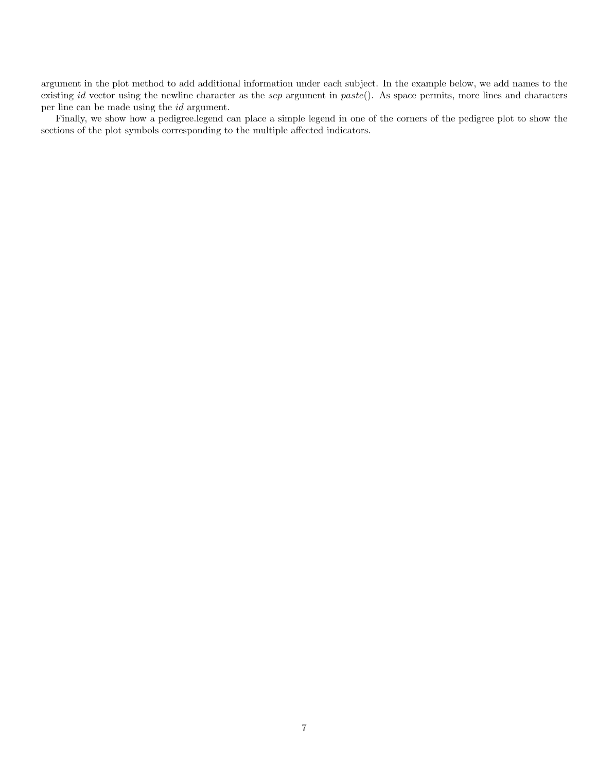argument in the plot method to add additional information under each subject. In the example below, we add names to the existing id vector using the newline character as the sep argument in paste(). As space permits, more lines and characters per line can be made using the id argument.

Finally, we show how a pedigree.legend can place a simple legend in one of the corners of the pedigree plot to show the sections of the plot symbols corresponding to the multiple affected indicators.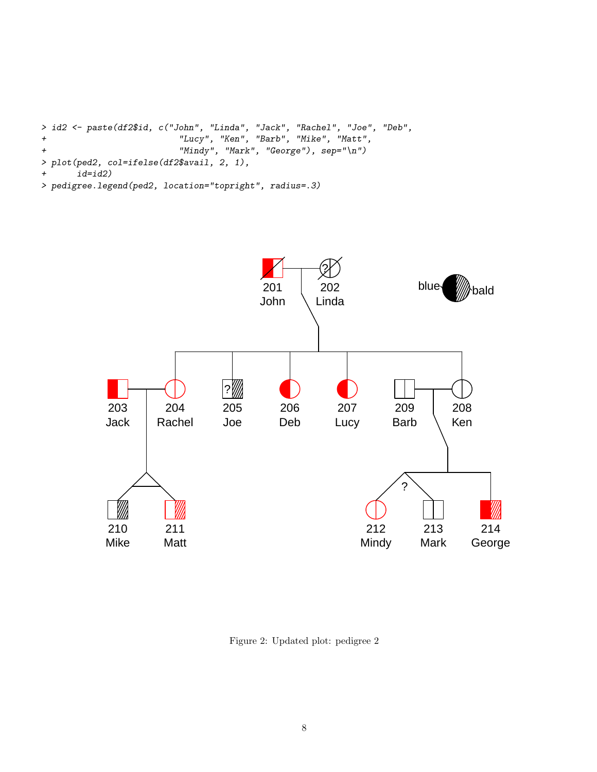```
> id2 <- paste(df2$id, c("John", "Linda", "Jack", "Rachel", "Joe", "Deb",
+ "Lucy", "Ken", "Barb", "Mike", "Matt",
+ "Mindy", "Mark", "George"), sep="\n")
> plot(ped2, col=ifelse(df2$avail, 2, 1),
+ id=id2)
> pedigree.legend(ped2, location="topright", radius=.3)
```


Figure 2: Updated plot: pedigree 2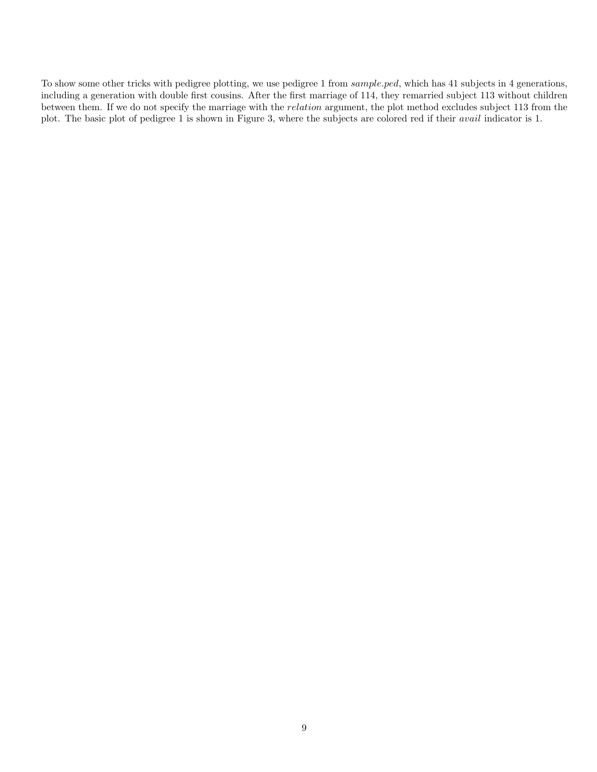To show some other tricks with pedigree plotting, we use pedigree 1 from sample.ped, which has 41 subjects in 4 generations, including a generation with double first cousins. After the first marriage of 114, they remarried subject 113 without children between them. If we do not specify the marriage with the relation argument, the plot method excludes subject 113 from the plot. The basic plot of pedigree 1 is shown in Figure 3, where the subjects are colored red if their avail indicator is 1.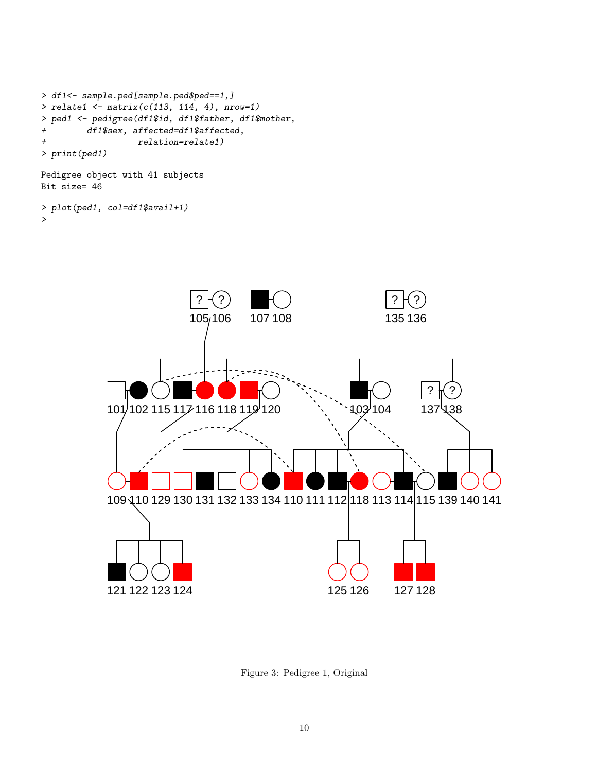```
> df1<- sample.ped[sample.ped$ped==1,]
> relate1 <- matrix(c(113, 114, 4), nrow=1)> ped1 <- pedigree(df1$id, df1$father, df1$mother,
+ df1$sex, affected=df1$affected,
+ relation=relate1)
> print(ped1)
```
Pedigree object with 41 subjects Bit size= 46

```
> plot(ped1, col=df1$avail+1)
>
```


Figure 3: Pedigree 1, Original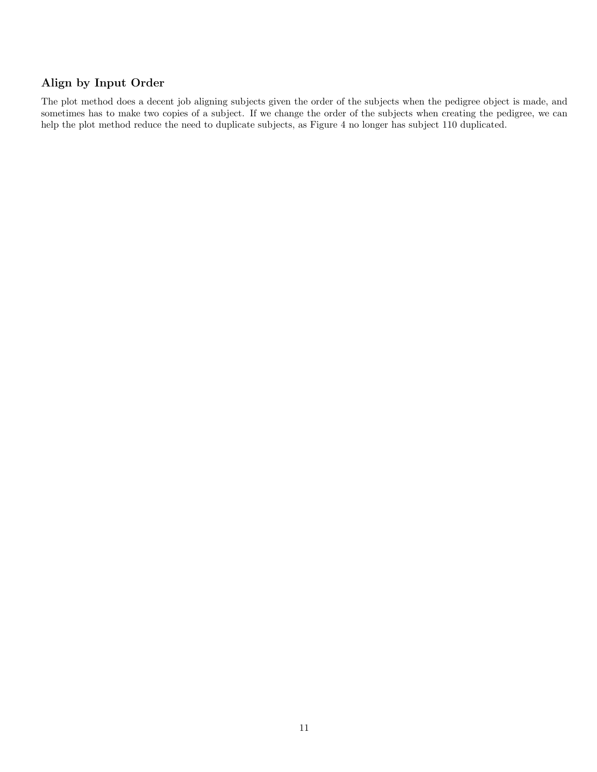## Align by Input Order

The plot method does a decent job aligning subjects given the order of the subjects when the pedigree object is made, and sometimes has to make two copies of a subject. If we change the order of the subjects when creating the pedigree, we can help the plot method reduce the need to duplicate subjects, as Figure 4 no longer has subject 110 duplicated.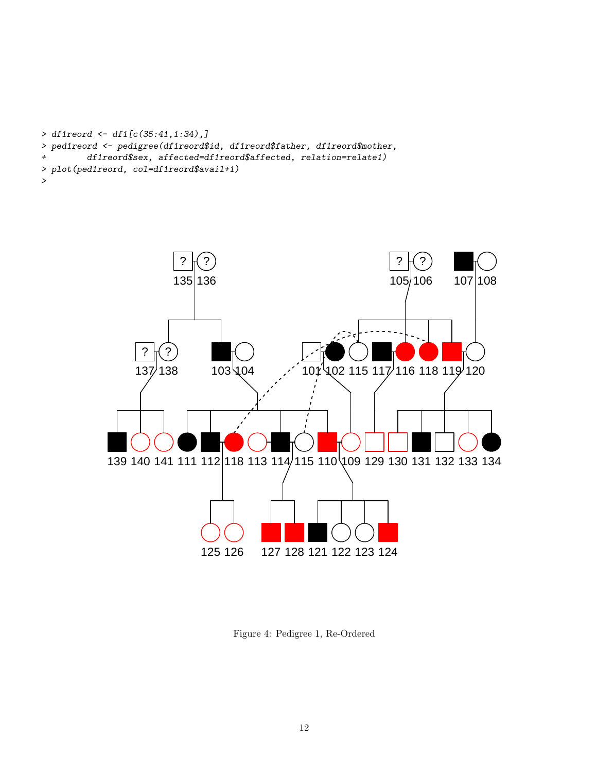```
> df1reord <- df1[c(35:41,1:34),]
> ped1reord <- pedigree(df1reord$id, df1reord$father, df1reord$mother,
+ df1reord$sex, affected=df1reord$affected, relation=relate1)
> plot(ped1reord, col=df1reord$avail+1)
>
```


Figure 4: Pedigree 1, Re-Ordered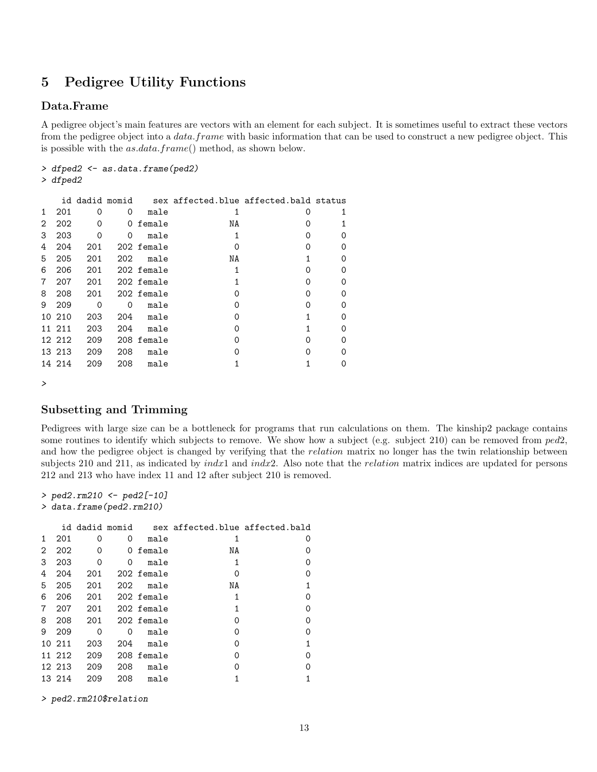# 5 Pedigree Utility Functions

## Data.Frame

A pedigree object's main features are vectors with an element for each subject. It is sometimes useful to extract these vectors from the pedigree object into a *data.frame* with basic information that can be used to construct a new pedigree object. This is possible with the as.data.frame() method, as shown below.

```
> dfped2 <- as.data.frame(ped2)
```
> dfped2

|   |        |          | id dadid momid |            | sex affected.blue affected.bald status |   |          |
|---|--------|----------|----------------|------------|----------------------------------------|---|----------|
| 1 | 201    | 0        | 0              | male       | 1                                      | ∩ |          |
| 2 | 202    | 0        | 0              | female     | NA                                     | Ω |          |
| 3 | 203    | $\Omega$ | 0              | male       |                                        | ∩ | 0        |
| 4 | 204    | 201      |                | 202 female |                                        |   | $\Omega$ |
| 5 | 205    | 201      | 202            | male       | ΝA                                     |   | $\Omega$ |
| 6 | 206    | 201      |                | 202 female |                                        |   | $\Omega$ |
| 7 | 207    | 201      |                | 202 female |                                        | ∩ | $\Omega$ |
| 8 | 208    | 201      |                | 202 female |                                        | ∩ | $\Omega$ |
| 9 | 209    | $\Omega$ | $\Omega$       | male       | ∩                                      | ∩ | $\Omega$ |
|   | 10 210 | 203      | 204            | male       |                                        |   | $\Omega$ |
|   | 11 211 | 203      | 204            | male       |                                        |   | 0        |
|   | 12 212 | 209      |                | 208 female |                                        | ∩ | $\Omega$ |
|   | 13 213 | 209      | 208            | male       |                                        |   | 0        |
|   | 14 214 | 209      | 208            | male       |                                        |   | $\Omega$ |
|   |        |          |                |            |                                        |   |          |

>

### Subsetting and Trimming

Pedigrees with large size can be a bottleneck for programs that run calculations on them. The kinship2 package contains some routines to identify which subjects to remove. We show how a subject (e.g. subject 210) can be removed from  $ped2$ , and how the pedigree object is changed by verifying that the *relation* matrix no longer has the twin relationship between subjects 210 and 211, as indicated by *indx*1 and *indx*2. Also note that the *relation* matrix indices are updated for persons 212 and 213 who have index 11 and 12 after subject 210 is removed.

```
> ped2.rm210 <- ped2[-10]
> data.frame(ped2.rm210)
```

|              |        |     |          |            | id dadid momid sex affected.blue affected.bald |   |
|--------------|--------|-----|----------|------------|------------------------------------------------|---|
| $\mathbf{1}$ | 201    | 0   | 0        | male       | 1                                              | O |
| 2            | 202    | 0   | 0        | female     | NΑ                                             | Ω |
| 3            | 203    | 0   | 0        | male       | 1                                              | Ω |
| 4            | 204    | 201 |          | 202 female | Ω                                              | Ω |
| 5            | 205    | 201 | 202      | male       | NA                                             |   |
| 6            | 206    | 201 |          | 202 female | 1                                              | Ω |
| 7            | 207    | 201 |          | 202 female | 1                                              | Ω |
| 8            | 208    | 201 |          | 202 female | ∩                                              | Ω |
| 9            | 209    | 0   | $\Omega$ | male       | ∩                                              | Ω |
|              | 10 211 | 203 | 204      | male       | Ω                                              |   |
|              | 11 212 | 209 |          | 208 female | ∩                                              | ∩ |
|              | 12 213 | 209 | 208      | male       | ∩                                              | Ω |
|              | 13 214 | 209 | 208      | male       |                                                |   |

> ped2.rm210\$relation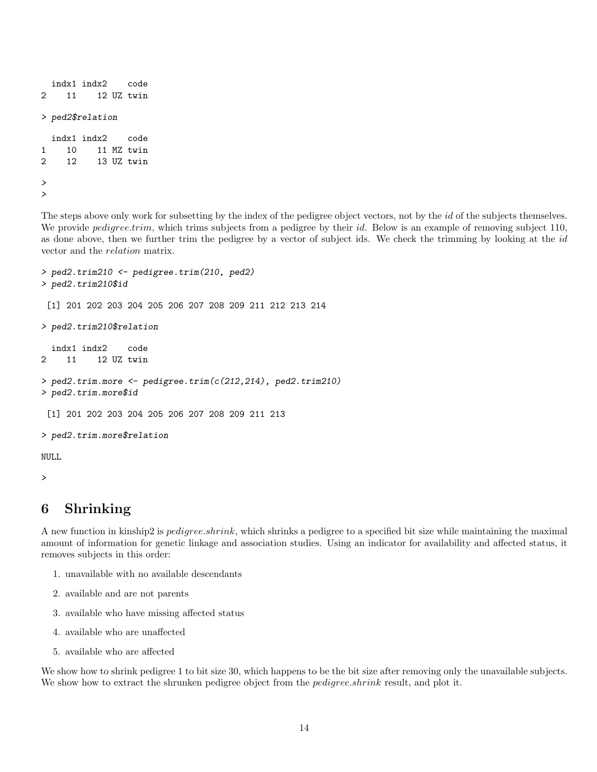```
indx1 indx2 code
2 11 12 UZ twin
> ped2$relation
 indx1 indx2 code
1 10 11 MZ twin
2 12 13 UZ twin
>
>
```
The steps above only work for subsetting by the index of the pedigree object vectors, not by the id of the subjects themselves. We provide *pedigree.trim*, which trims subjects from a pedigree by their id. Below is an example of removing subject 110, as done above, then we further trim the pedigree by a vector of subject ids. We check the trimming by looking at the id vector and the relation matrix.

```
> ped2.trim210 <- pedigree.trim(210, ped2)
> ped2.trim210$id
 [1] 201 202 203 204 205 206 207 208 209 211 212 213 214
> ped2.trim210$relation
  indx1 indx2 code
2 11 12 UZ twin
> ped2.trim.more <- pedigree.trim(c(212,214), ped2.trim210)
> ped2.trim.more$id
 [1] 201 202 203 204 205 206 207 208 209 211 213
> ped2.trim.more$relation
NULL
>
```
## 6 Shrinking

A new function in kinship2 is pedigree.shrink, which shrinks a pedigree to a specified bit size while maintaining the maximal amount of information for genetic linkage and association studies. Using an indicator for availability and affected status, it removes subjects in this order:

- 1. unavailable with no available descendants
- 2. available and are not parents
- 3. available who have missing affected status
- 4. available who are unaffected
- 5. available who are affected

We show how to shrink pedigree 1 to bit size 30, which happens to be the bit size after removing only the unavailable subjects. We show how to extract the shrunken pedigree object from the *pedigree.shrink* result, and plot it.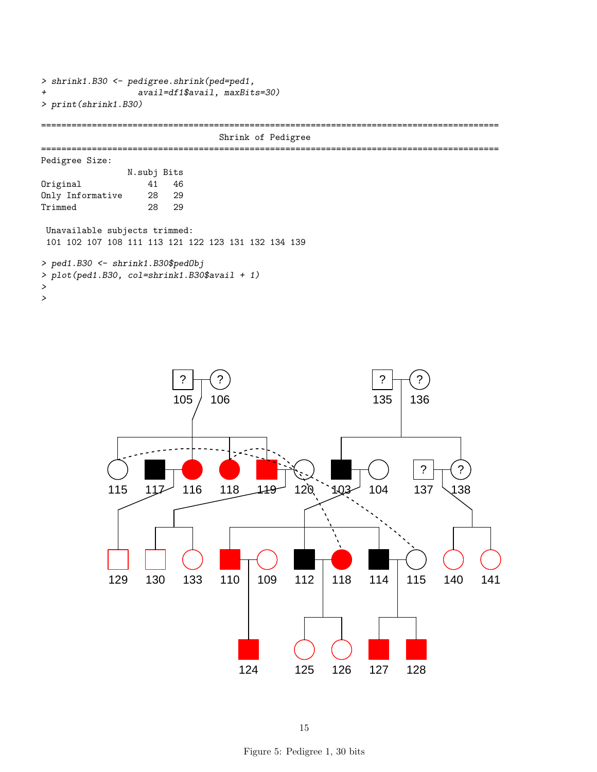```
> shrink1.B30 <- pedigree.shrink(ped=ped1,
+ avail=df1$avail, maxBits=30)
> print(shrink1.B30)
==========================================================================================
                                Shrink of Pedigree
==========================================================================================
Pedigree Size:
               N.subj Bits
Original 41 46
Only Informative 28 29
Trimmed 28 29
Unavailable subjects trimmed:
 101 102 107 108 111 113 121 122 123 131 132 134 139
> ped1.B30 <- shrink1.B30$pedObj
> plot(ped1.B30, col=shrink1.B30$avail + 1)
>
```

```
>
```


15

Figure 5: Pedigree 1, 30 bits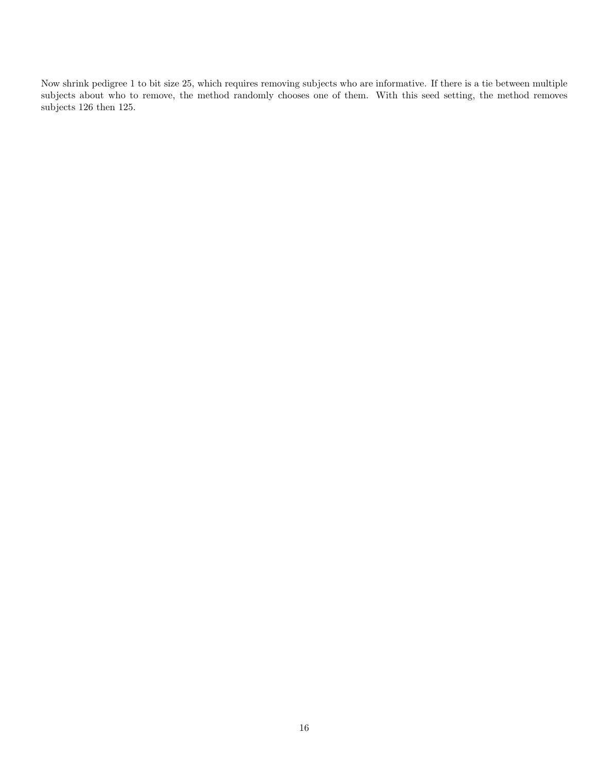Now shrink pedigree 1 to bit size 25, which requires removing subjects who are informative. If there is a tie between multiple subjects about who to remove, the method randomly chooses one of them. With this seed setting, the method removes subjects 126 then 125.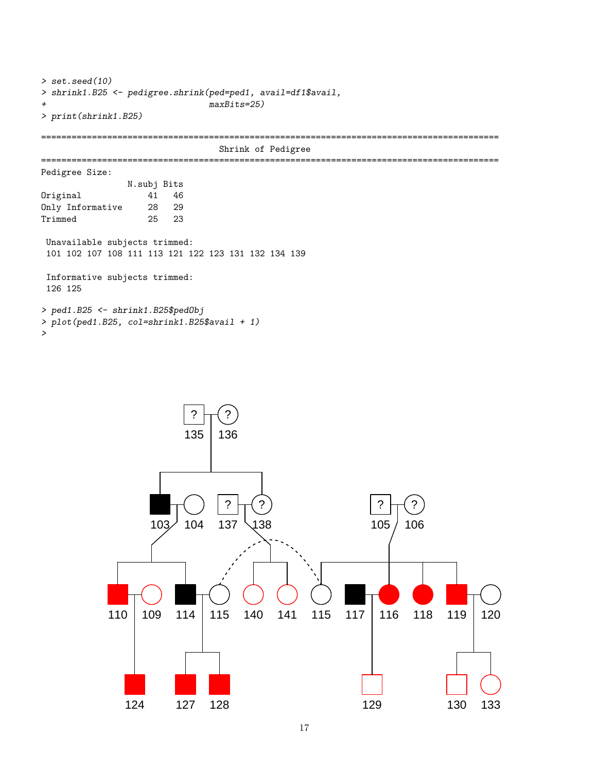```
> set.seed(10)
> shrink1.B25 <- pedigree.shrink(ped=ped1, avail=df1$avail,
+ maxBits=25)
> print(shrink1.B25)
==========================================================================================
                               Shrink of Pedigree
==========================================================================================
Pedigree Size:
               N.subj Bits
Original 41 46
Only Informative 28 29
Trimmed 25 23
 Unavailable subjects trimmed:
 101 102 107 108 111 113 121 122 123 131 132 134 139
 Informative subjects trimmed:
 126 125
> ped1.B25 <- shrink1.B25$pedObj
> plot(ped1.B25, col=shrink1.B25$avail + 1)
```
 $\mathbf{r}$ 

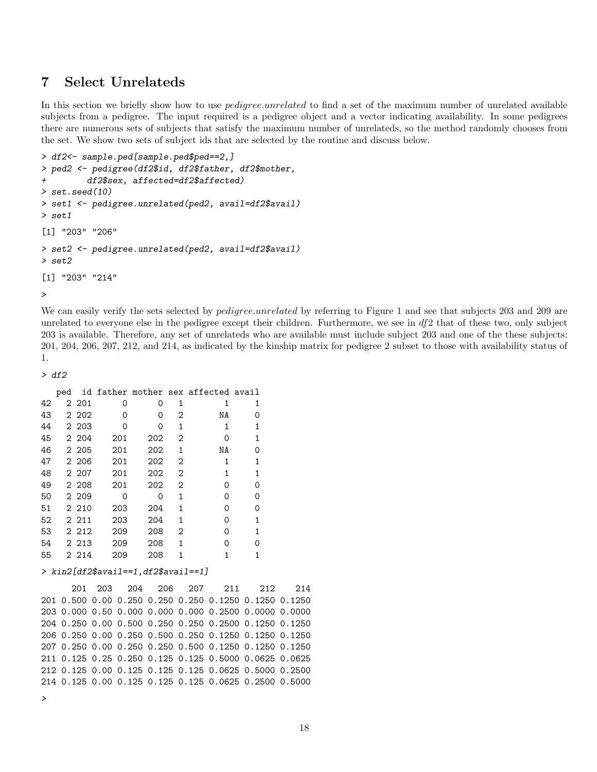## 7 Select Unrelateds

In this section we briefly show how to use *pedigree.unrelated* to find a set of the maximum number of unrelated available subjects from a pedigree. The input required is a pedigree object and a vector indicating availability. In some pedigrees there are numerous sets of subjects that satisfy the maximum number of unrelateds, so the method randomly chooses from the set. We show two sets of subject ids that are selected by the routine and discuss below.

```
> df2<- sample.ped[sample.ped$ped==2,]
> ped2 <- pedigree(df2$id, df2$father, df2$mother,
+ df2$sex, affected=df2$affected)
> set.seed(10)
> set1 <- pedigree.unrelated(ped2, avail=df2$avail)
> set1
[1] "203" "206"
> set2 <- pedigree.unrelated(ped2, avail=df2$avail)
> set2
[1] "203" "214"
>
```
We can easily verify the sets selected by *pedigree.unrelated* by referring to Figure 1 and see that subjects 203 and 209 are unrelated to everyone else in the pedigree except their children. Furthermore, we see in  $df2$  that of these two, only subject 203 is available. Therefore, any set of unrelateds who are available must include subject 203 and one of the these subjects: 201, 204, 206, 207, 212, and 214, as indicated by the kinship matrix for pedigree 2 subset to those with availability status of 1.

```
> df2
```

|    | ped |         |     |     |   | id father mother sex affected avail |   |
|----|-----|---------|-----|-----|---|-------------------------------------|---|
| 42 |     | 2 201   | 0   | 0   | 1 |                                     |   |
| 43 |     | 2 202   | 0   | 0   | 2 | ΝA                                  | O |
| 44 |     | 2 203   | 0   | 0   | 1 | 1                                   |   |
| 45 |     | 2 204   | 201 | 202 | 2 | Ω                                   | 1 |
| 46 |     | 2 2 0 5 | 201 | 202 | 1 | ΝA                                  | Ω |
| 47 |     | 2 206   | 201 | 202 | 2 | 1                                   |   |
| 48 |     | 2 207   | 201 | 202 | 2 |                                     |   |
| 49 |     | 2 208   | 201 | 202 | 2 | Ω                                   | Ω |
| 50 |     | 2 209   | 0   | 0   | 1 | Ω                                   | Ω |
| 51 |     | 2 210   | 203 | 204 | 1 | Ω                                   | ∩ |
| 52 |     | 2 2 1 1 | 203 | 204 | 1 | Ω                                   |   |
| 53 |     | 2 2 1 2 | 209 | 208 | 2 | ი                                   |   |
| 54 |     | 2 2 1 3 | 209 | 208 | 1 | Ω                                   | Ω |
| 55 |     | 2 2 1 4 | 209 | 208 |   |                                     |   |

> kin2[df2\$avail==1,df2\$avail==1]

201 203 204 206 207 211 212 214 201 0.500 0.00 0.250 0.250 0.250 0.1250 0.1250 0.1250 203 0.000 0.50 0.000 0.000 0.000 0.2500 0.0000 0.0000 204 0.250 0.00 0.500 0.250 0.250 0.2500 0.1250 0.1250 206 0.250 0.00 0.250 0.500 0.250 0.1250 0.1250 0.1250 207 0.250 0.00 0.250 0.250 0.500 0.1250 0.1250 0.1250 211 0.125 0.25 0.250 0.125 0.125 0.5000 0.0625 0.0625 212 0.125 0.00 0.125 0.125 0.125 0.0625 0.5000 0.2500 214 0.125 0.00 0.125 0.125 0.125 0.0625 0.2500 0.5000

```
>
```